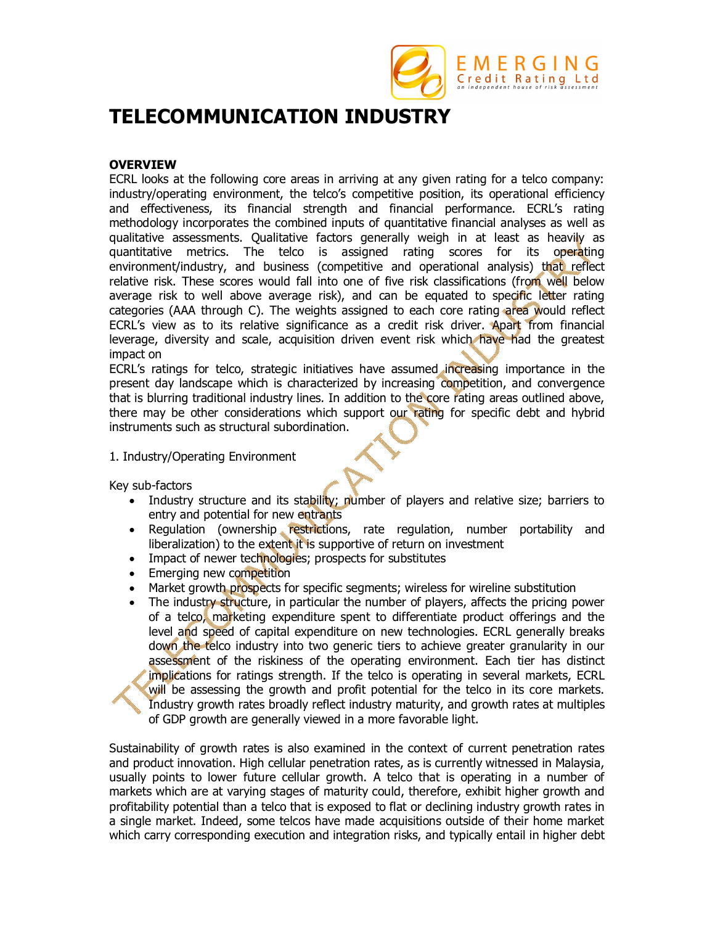

# **TELECOMMUNICATION INDUSTRY**

# **OVERVIEW**

ECRL looks at the following core areas in arriving at any given rating for a telco company: industry/operating environment, the telco's competitive position, its operational efficiency and effectiveness, its financial strength and financial performance. ECRL's rating methodology incorporates the combined inputs of quantitative financial analyses as well as qualitative assessments. Qualitative factors generally weigh in at least as heavily as quantitative metrics. The telco is assigned rating scores for its operating environment/industry, and business (competitive and operational analysis) that reflect relative risk. These scores would fall into one of five risk classifications (from well below average risk to well above average risk), and can be equated to specific letter rating categories (AAA through C). The weights assigned to each core rating area would reflect ECRL's view as to its relative significance as a credit risk driver. Apart from financial leverage, diversity and scale, acquisition driven event risk which have had the greatest impact on

ECRL's ratings for telco, strategic initiatives have assumed increasing importance in the present day landscape which is characterized by increasing competition, and convergence that is blurring traditional industry lines. In addition to the core rating areas outlined above, there may be other considerations which support our rating for specific debt and hybrid instruments such as structural subordination.

# 1. Industry/Operating Environment

Key sub-factors

- Industry structure and its stability; number of players and relative size; barriers to entry and potential for new entrants
- Regulation (ownership restrictions, rate regulation, number portability and liberalization) to the extent it is supportive of return on investment
- Impact of newer technologies; prospects for substitutes
- **Emerging new competition**
- Market growth prospects for specific segments; wireless for wireline substitution
- The industry structure, in particular the number of players, affects the pricing power of a telco, marketing expenditure spent to differentiate product offerings and the level and speed of capital expenditure on new technologies. ECRL generally breaks down the telco industry into two generic tiers to achieve greater granularity in our assessment of the riskiness of the operating environment. Each tier has distinct implications for ratings strength. If the telco is operating in several markets, ECRL will be assessing the growth and profit potential for the telco in its core markets. Industry growth rates broadly reflect industry maturity, and growth rates at multiples of GDP growth are generally viewed in a more favorable light.

Sustainability of growth rates is also examined in the context of current penetration rates and product innovation. High cellular penetration rates, as is currently witnessed in Malaysia, usually points to lower future cellular growth. A telco that is operating in a number of markets which are at varying stages of maturity could, therefore, exhibit higher growth and profitability potential than a telco that is exposed to flat or declining industry growth rates in a single market. Indeed, some telcos have made acquisitions outside of their home market which carry corresponding execution and integration risks, and typically entail in higher debt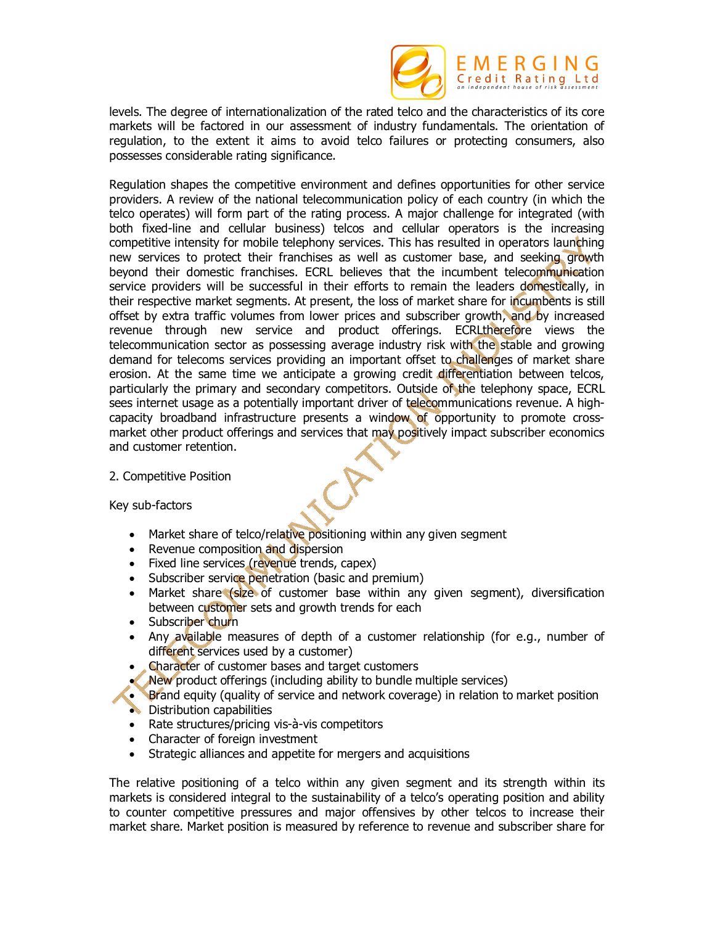

levels. The degree of internationalization of the rated telco and the characteristics of its core markets will be factored in our assessment of industry fundamentals. The orientation of regulation, to the extent it aims to avoid telco failures or protecting consumers, also possesses considerable rating significance.

Regulation shapes the competitive environment and defines opportunities for other service providers. A review of the national telecommunication policy of each country (in which the telco operates) will form part of the rating process. A major challenge for integrated (with both fixed-line and cellular business) telcos and cellular operators is the increasing competitive intensity for mobile telephony services. This has resulted in operators launching new services to protect their franchises as well as customer base, and seeking growth beyond their domestic franchises. ECRL believes that the incumbent telecommunication service providers will be successful in their efforts to remain the leaders domestically, in their respective market segments. At present, the loss of market share for incumbents is still offset by extra traffic volumes from lower prices and subscriber growth, and by increased revenue through new service and product offerings. ECRLtherefore views the telecommunication sector as possessing average industry risk with the stable and growing demand for telecoms services providing an important offset to challenges of market share erosion. At the same time we anticipate a growing credit differentiation between telcos, particularly the primary and secondary competitors. Outside of the telephony space, ECRL sees internet usage as a potentially important driver of telecommunications revenue. A highcapacity broadband infrastructure presents a window of opportunity to promote crossmarket other product offerings and services that may positively impact subscriber economics and customer retention.

# 2. Competitive Position

Key sub-factors

- Market share of telco/relative positioning within any given segment
- Revenue composition and dispersion
- Fixed line services (revenue trends, capex)
- Subscriber service penetration (basic and premium)
- Market share (size of customer base within any given segment), diversification between customer sets and growth trends for each
- Subscriber churn
- Any available measures of depth of a customer relationship (for e.g., number of different services used by a customer)
- Character of customer bases and target customers
- New product offerings (including ability to bundle multiple services)
- Brand equity (quality of service and network coverage) in relation to market position **Distribution capabilities**
- Rate structures/pricing vis-à-vis competitors
- Character of foreign investment
- Strategic alliances and appetite for mergers and acquisitions

The relative positioning of a telco within any given segment and its strength within its markets is considered integral to the sustainability of a telco's operating position and ability to counter competitive pressures and major offensives by other telcos to increase their market share. Market position is measured by reference to revenue and subscriber share for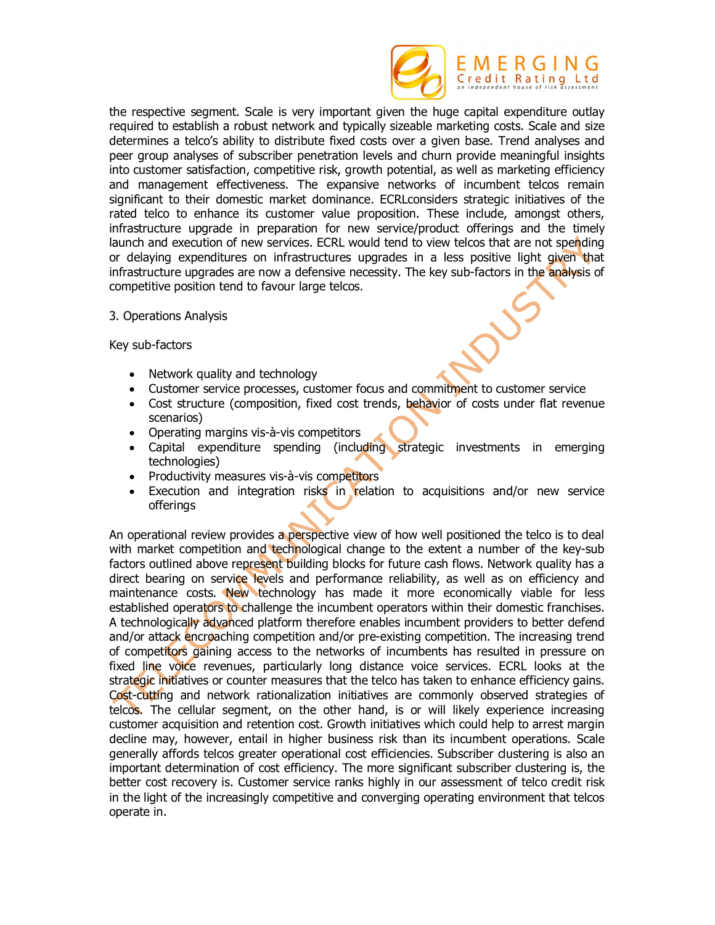

the respective segment. Scale is very important given the huge capital expenditure outlay required to establish a robust network and typically sizeable marketing costs. Scale and size determines a telco's ability to distribute fixed costs over a given base. Trend analyses and peer group analyses of subscriber penetration levels and churn provide meaningful insights into customer satisfaction, competitive risk, growth potential, as well as marketing efficiency and management effectiveness. The expansive networks of incumbent telcos remain significant to their domestic market dominance. ECRLconsiders strategic initiatives of the rated telco to enhance its customer value proposition. These include, amongst others, infrastructure upgrade in preparation for new service/product offerings and the timely launch and execution of new services. ECRL would tend to view telcos that are not spending or delaying expenditures on infrastructures upgrades in a less positive light given that infrastructure upgrades are now a defensive necessity. The key sub-factors in the analysis of competitive position tend to favour large telcos.

3. Operations Analysis

Key sub-factors

- Network quality and technology
- Customer service processes, customer focus and commitment to customer service
- Cost structure (composition, fixed cost trends, behavior of costs under flat revenue scenarios)
- Operating margins vis-à-vis competitors
- Capital expenditure spending (including strategic investments in emerging technologies)
- Productivity measures vis-à-vis competitors
- Execution and integration risks in relation to acquisitions and/or new service offerings

An operational review provides a perspective view of how well positioned the telco is to deal with market competition and technological change to the extent a number of the key-sub factors outlined above represent building blocks for future cash flows. Network quality has a direct bearing on service levels and performance reliability, as well as on efficiency and maintenance costs. New technology has made it more economically viable for less established operators to challenge the incumbent operators within their domestic franchises. A technologically advanced platform therefore enables incumbent providers to better defend and/or attack encroaching competition and/or pre-existing competition. The increasing trend of competitors gaining access to the networks of incumbents has resulted in pressure on fixed line voice revenues, particularly long distance voice services. ECRL looks at the strategic initiatives or counter measures that the telco has taken to enhance efficiency gains. Cost-cutting and network rationalization initiatives are commonly observed strategies of telcos. The cellular segment, on the other hand, is or will likely experience increasing customer acquisition and retention cost. Growth initiatives which could help to arrest margin decline may, however, entail in higher business risk than its incumbent operations. Scale generally affords telcos greater operational cost efficiencies. Subscriber clustering is also an important determination of cost efficiency. The more significant subscriber clustering is, the better cost recovery is. Customer service ranks highly in our assessment of telco credit risk in the light of the increasingly competitive and converging operating environment that telcos operate in.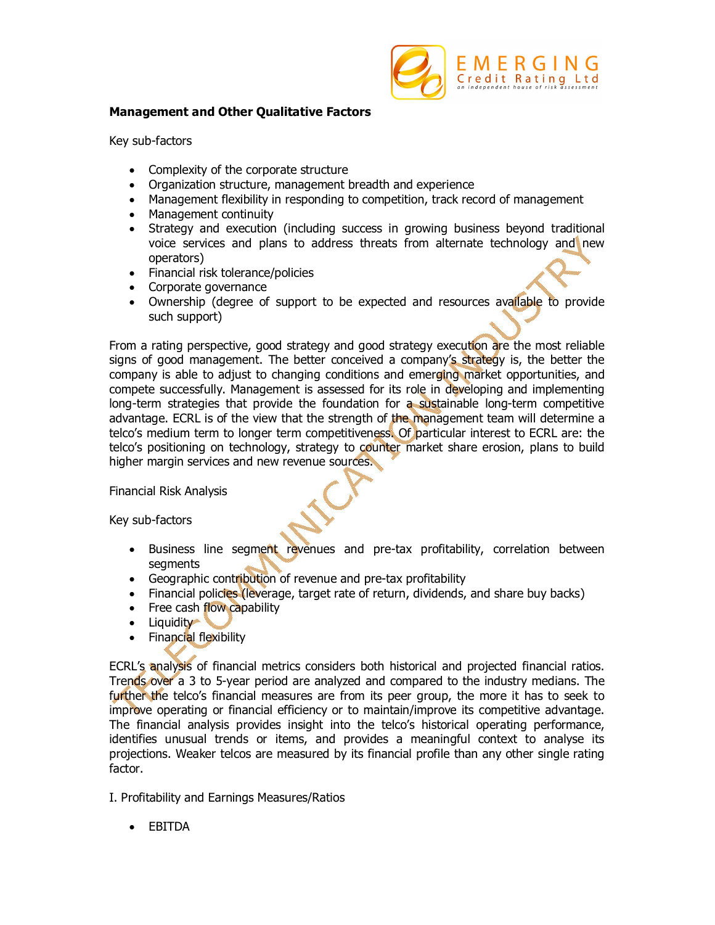

# **Management and Other Qualitative Factors**

Key sub-factors

- Complexity of the corporate structure
- Organization structure, management breadth and experience
- Management flexibility in responding to competition, track record of management
- Management continuity
- Strategy and execution (including success in growing business beyond traditional voice services and plans to address threats from alternate technology and new operators)
- Financial risk tolerance/policies
- Corporate governance
- Ownership (degree of support to be expected and resources available to provide such support)

From a rating perspective, good strategy and good strategy execution are the most reliable signs of good management. The better conceived a company's strategy is, the better the company is able to adjust to changing conditions and emerging market opportunities, and compete successfully. Management is assessed for its role in developing and implementing long-term strategies that provide the foundation for a sustainable long-term competitive advantage. ECRL is of the view that the strength of the management team will determine a telco's medium term to longer term competitiveness. Of particular interest to ECRL are: the telco's positioning on technology, strategy to counter market share erosion, plans to build higher margin services and new revenue sources.

Financial Risk Analysis

Key sub-factors

- Business line segment revenues and pre-tax profitability, correlation between segments
- Geographic contribution of revenue and pre-tax profitability
- Financial policies (leverage, target rate of return, dividends, and share buy backs)
- Free cash flow capability
- Liquidity
- Financial flexibility

ECRL's analysis of financial metrics considers both historical and projected financial ratios. Trends over a 3 to 5-year period are analyzed and compared to the industry medians. The further the telco's financial measures are from its peer group, the more it has to seek to improve operating or financial efficiency or to maintain/improve its competitive advantage. The financial analysis provides insight into the telco's historical operating performance, identifies unusual trends or items, and provides a meaningful context to analyse its projections. Weaker telcos are measured by its financial profile than any other single rating factor.

- I. Profitability and Earnings Measures/Ratios
	- EBITDA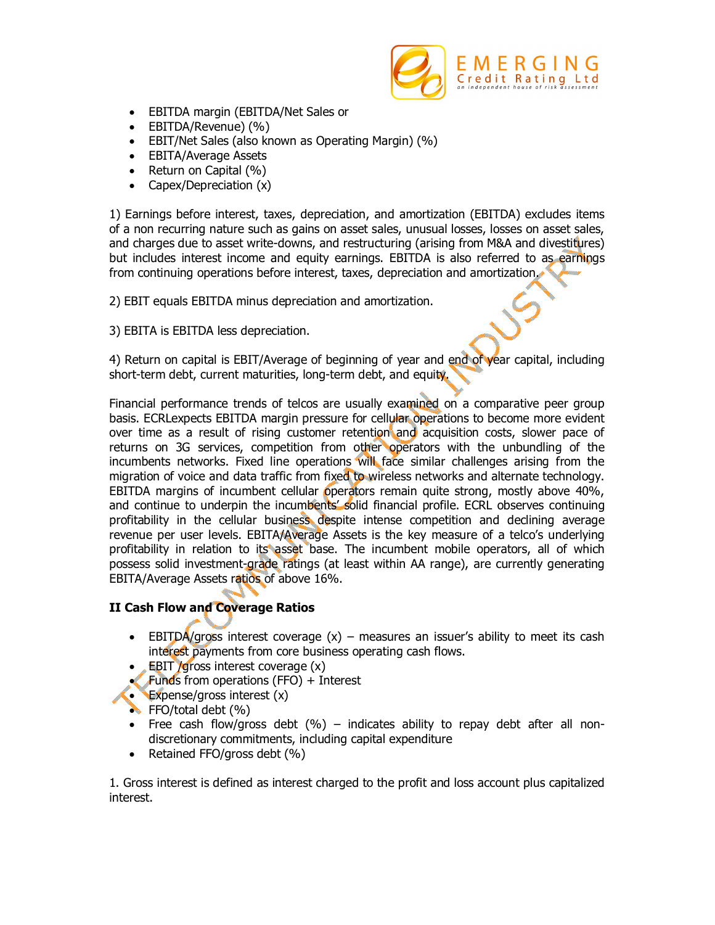

- EBITDA margin (EBITDA/Net Sales or
- EBITDA/Revenue) (%)
- EBIT/Net Sales (also known as Operating Margin) (%)
- EBITA/Average Assets
- Return on Capital (%)
- Capex/Depreciation (x)

1) Earnings before interest, taxes, depreciation, and amortization (EBITDA) excludes items of a non recurring nature such as gains on asset sales, unusual losses, losses on asset sales, and charges due to asset write-downs, and restructuring (arising from M&A and divestitures) but includes interest income and equity earnings. EBITDA is also referred to as earnings from continuing operations before interest, taxes, depreciation and amortization.

2) EBIT equals EBITDA minus depreciation and amortization.

3) EBITA is EBITDA less depreciation.

4) Return on capital is EBIT/Average of beginning of year and end of year capital, including short-term debt, current maturities, long-term debt, and equity.

Financial performance trends of telcos are usually examined on a comparative peer group basis. ECRLexpects EBITDA margin pressure for cellular operations to become more evident over time as a result of rising customer retention and acquisition costs, slower pace of returns on 3G services, competition from other operators with the unbundling of the incumbents networks. Fixed line operations will face similar challenges arising from the migration of voice and data traffic from fixed to wireless networks and alternate technology. EBITDA margins of incumbent cellular operators remain quite strong, mostly above 40%, and continue to underpin the incumbents' solid financial profile. ECRL observes continuing profitability in the cellular business despite intense competition and declining average revenue per user levels. EBITA/Average Assets is the key measure of a telco's underlying profitability in relation to its asset base. The incumbent mobile operators, all of which possess solid investment-grade ratings (at least within AA range), are currently generating EBITA/Average Assets ratios of above 16%.

# **II Cash Flow and Coverage Ratios**

- **EBITDA/gross interest coverage**  $(x)$  **measures an issuer's ability to meet its cash** interest payments from core business operating cash flows.
- $\bullet$  **EBIT /gross interest coverage (x)**
- $\blacktriangleright$  Funds from operations (FFO) + Interest
- **Expense/gross interest (x)**
- $\bullet$  FFO/total debt  $(%)$
- Free cash flow/gross debt  $(\%)$  indicates ability to repay debt after all nondiscretionary commitments, including capital expenditure
- Retained FFO/gross debt (%)

1. Gross interest is defined as interest charged to the profit and loss account plus capitalized interest.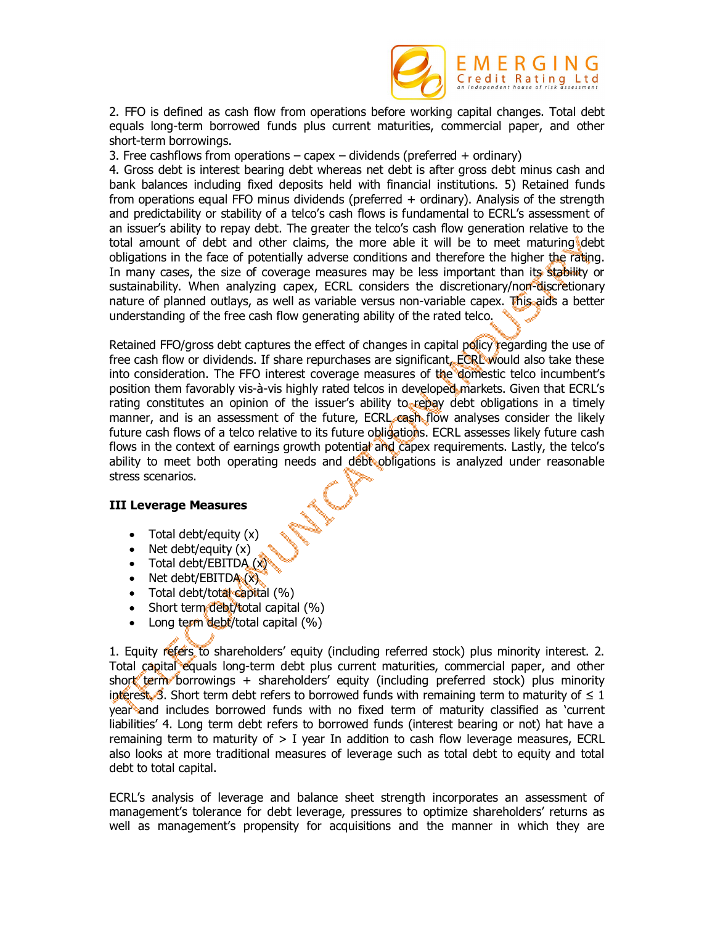

2. FFO is defined as cash flow from operations before working capital changes. Total debt equals long-term borrowed funds plus current maturities, commercial paper, and other short-term borrowings.

3. Free cashflows from operations  $-$  capex  $-$  dividends (preferred  $+$  ordinary)

4. Gross debt is interest bearing debt whereas net debt is after gross debt minus cash and bank balances including fixed deposits held with financial institutions. 5) Retained funds from operations equal FFO minus dividends (preferred + ordinary). Analysis of the strength and predictability or stability of a telco's cash flows is fundamental to ECRL's assessment of an issuer's ability to repay debt. The greater the telco's cash flow generation relative to the total amount of debt and other claims, the more able it will be to meet maturing debt obligations in the face of potentially adverse conditions and therefore the higher the rating. In many cases, the size of coverage measures may be less important than its stability or sustainability. When analyzing capex, ECRL considers the discretionary/non-discretionary nature of planned outlays, as well as variable versus non-variable capex. This aids a better understanding of the free cash flow generating ability of the rated telco.

Retained FFO/gross debt captures the effect of changes in capital policy regarding the use of free cash flow or dividends. If share repurchases are significant, ECRL would also take these into consideration. The FFO interest coverage measures of the domestic telco incumbent's position them favorably vis-à-vis highly rated telcos in developed markets. Given that ECRL's rating constitutes an opinion of the issuer's ability to repay debt obligations in a timely manner, and is an assessment of the future, ECRL cash flow analyses consider the likely future cash flows of a telco relative to its future obligations. ECRL assesses likely future cash flows in the context of earnings growth potential and capex requirements. Lastly, the telco's ability to meet both operating needs and debt obligations is analyzed under reasonable stress scenarios.

# **III Leverage Measures**

- $\bullet$  Total debt/equity  $(x)$
- $\bullet$  Net debt/equity  $(x)$
- Total debt/EBITDA (x)
- $\bullet$  Net debt/EBITDA  $(x)$
- $\bullet$  Total debt/total capital  $(\%)$
- Short term debt/total capital (%)
- $\bullet$  Long term debt/total capital (%)

1. Equity refers to shareholders' equity (including referred stock) plus minority interest. 2. Total capital equals long-term debt plus current maturities, commercial paper, and other short term borrowings + shareholders' equity (including preferred stock) plus minority interest. 3. Short term debt refers to borrowed funds with remaining term to maturity of  $\leq 1$ year and includes borrowed funds with no fixed term of maturity classified as 'current liabilities' 4. Long term debt refers to borrowed funds (interest bearing or not) hat have a remaining term to maturity of  $> I$  year In addition to cash flow leverage measures, ECRL also looks at more traditional measures of leverage such as total debt to equity and total debt to total capital.

ECRL's analysis of leverage and balance sheet strength incorporates an assessment of management's tolerance for debt leverage, pressures to optimize shareholders' returns as well as management's propensity for acquisitions and the manner in which they are